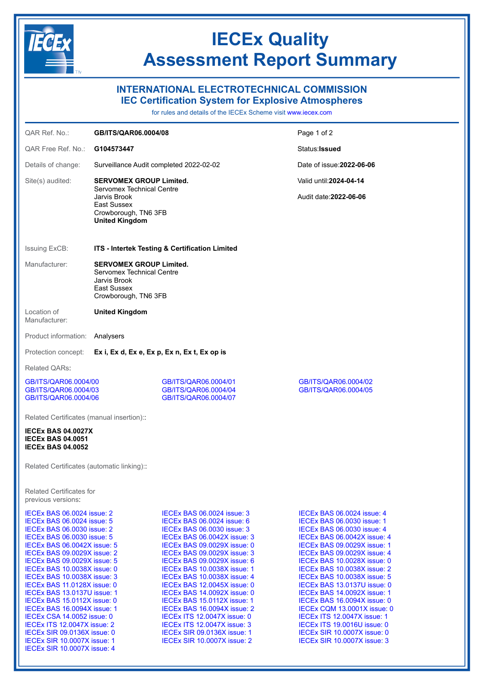

## IECEx Quality Assessment Report Summary

## INTERNATIONAL ELECTROTECHNICAL COMMISSION IEC Certification System for Explosive Atmospheres

for rules and details of the IECEx Scheme visit [www.iecex.com](https://www.iecex.com)

| QAR Ref. No.:                                                                                                                                                                                                                                                                                                                                                                                                                                                                                                                                      | GB/ITS/QAR06.0004/08                                                                                               |                                                                                                                                                                                                                                                                                                                                                                                                                                                                                                                                                                             | Page 1 of 2                                                                                                                                                                                                                                                                                                                                                                                                                                                                                                                                                                        |
|----------------------------------------------------------------------------------------------------------------------------------------------------------------------------------------------------------------------------------------------------------------------------------------------------------------------------------------------------------------------------------------------------------------------------------------------------------------------------------------------------------------------------------------------------|--------------------------------------------------------------------------------------------------------------------|-----------------------------------------------------------------------------------------------------------------------------------------------------------------------------------------------------------------------------------------------------------------------------------------------------------------------------------------------------------------------------------------------------------------------------------------------------------------------------------------------------------------------------------------------------------------------------|------------------------------------------------------------------------------------------------------------------------------------------------------------------------------------------------------------------------------------------------------------------------------------------------------------------------------------------------------------------------------------------------------------------------------------------------------------------------------------------------------------------------------------------------------------------------------------|
| QAR Free Ref. No.:                                                                                                                                                                                                                                                                                                                                                                                                                                                                                                                                 | G104573447                                                                                                         |                                                                                                                                                                                                                                                                                                                                                                                                                                                                                                                                                                             | Status: <b>Issued</b>                                                                                                                                                                                                                                                                                                                                                                                                                                                                                                                                                              |
| Details of change:                                                                                                                                                                                                                                                                                                                                                                                                                                                                                                                                 | Surveillance Audit completed 2022-02-02                                                                            |                                                                                                                                                                                                                                                                                                                                                                                                                                                                                                                                                                             | Date of issue: 2022-06-06                                                                                                                                                                                                                                                                                                                                                                                                                                                                                                                                                          |
| Site(s) audited:                                                                                                                                                                                                                                                                                                                                                                                                                                                                                                                                   | <b>SERVOMEX GROUP Limited.</b>                                                                                     |                                                                                                                                                                                                                                                                                                                                                                                                                                                                                                                                                                             | Valid until: 2024-04-14                                                                                                                                                                                                                                                                                                                                                                                                                                                                                                                                                            |
|                                                                                                                                                                                                                                                                                                                                                                                                                                                                                                                                                    | Servomex Technical Centre<br>Jarvis Brook<br>East Sussex                                                           |                                                                                                                                                                                                                                                                                                                                                                                                                                                                                                                                                                             | Audit date: 2022-06-06                                                                                                                                                                                                                                                                                                                                                                                                                                                                                                                                                             |
|                                                                                                                                                                                                                                                                                                                                                                                                                                                                                                                                                    | Crowborough, TN6 3FB<br><b>United Kingdom</b>                                                                      |                                                                                                                                                                                                                                                                                                                                                                                                                                                                                                                                                                             |                                                                                                                                                                                                                                                                                                                                                                                                                                                                                                                                                                                    |
| <b>Issuing ExCB:</b>                                                                                                                                                                                                                                                                                                                                                                                                                                                                                                                               | ITS - Intertek Testing & Certification Limited                                                                     |                                                                                                                                                                                                                                                                                                                                                                                                                                                                                                                                                                             |                                                                                                                                                                                                                                                                                                                                                                                                                                                                                                                                                                                    |
| Manufacturer:                                                                                                                                                                                                                                                                                                                                                                                                                                                                                                                                      | <b>SERVOMEX GROUP Limited.</b><br>Servomex Technical Centre<br>Jarvis Brook<br>East Sussex<br>Crowborough, TN6 3FB |                                                                                                                                                                                                                                                                                                                                                                                                                                                                                                                                                                             |                                                                                                                                                                                                                                                                                                                                                                                                                                                                                                                                                                                    |
| Location of<br>Manufacturer:                                                                                                                                                                                                                                                                                                                                                                                                                                                                                                                       | <b>United Kingdom</b>                                                                                              |                                                                                                                                                                                                                                                                                                                                                                                                                                                                                                                                                                             |                                                                                                                                                                                                                                                                                                                                                                                                                                                                                                                                                                                    |
| Product information:                                                                                                                                                                                                                                                                                                                                                                                                                                                                                                                               | Analysers                                                                                                          |                                                                                                                                                                                                                                                                                                                                                                                                                                                                                                                                                                             |                                                                                                                                                                                                                                                                                                                                                                                                                                                                                                                                                                                    |
| Protection concept:                                                                                                                                                                                                                                                                                                                                                                                                                                                                                                                                | Ex i, Ex d, Ex e, Ex p, Ex n, Ex t, Ex op is                                                                       |                                                                                                                                                                                                                                                                                                                                                                                                                                                                                                                                                                             |                                                                                                                                                                                                                                                                                                                                                                                                                                                                                                                                                                                    |
| <b>Related QARs:</b>                                                                                                                                                                                                                                                                                                                                                                                                                                                                                                                               |                                                                                                                    |                                                                                                                                                                                                                                                                                                                                                                                                                                                                                                                                                                             |                                                                                                                                                                                                                                                                                                                                                                                                                                                                                                                                                                                    |
| GB/ITS/QAR06.0004/00<br>GB/ITS/QAR06.0004/03<br>GB/ITS/QAR06.0004/06                                                                                                                                                                                                                                                                                                                                                                                                                                                                               |                                                                                                                    | GB/ITS/QAR06.0004/01<br>GB/ITS/QAR06.0004/04<br>GB/ITS/QAR06.0004/07                                                                                                                                                                                                                                                                                                                                                                                                                                                                                                        | GB/ITS/QAR06.0004/02<br>GB/ITS/QAR06.0004/05                                                                                                                                                                                                                                                                                                                                                                                                                                                                                                                                       |
| Related Certificates (manual insertion):                                                                                                                                                                                                                                                                                                                                                                                                                                                                                                           |                                                                                                                    |                                                                                                                                                                                                                                                                                                                                                                                                                                                                                                                                                                             |                                                                                                                                                                                                                                                                                                                                                                                                                                                                                                                                                                                    |
| <b>IECEX BAS 04.0027X</b><br><b>IECEX BAS 04.0051</b><br><b>IECEX BAS 04.0052</b>                                                                                                                                                                                                                                                                                                                                                                                                                                                                  |                                                                                                                    |                                                                                                                                                                                                                                                                                                                                                                                                                                                                                                                                                                             |                                                                                                                                                                                                                                                                                                                                                                                                                                                                                                                                                                                    |
| Related Certificates (automatic linking)::                                                                                                                                                                                                                                                                                                                                                                                                                                                                                                         |                                                                                                                    |                                                                                                                                                                                                                                                                                                                                                                                                                                                                                                                                                                             |                                                                                                                                                                                                                                                                                                                                                                                                                                                                                                                                                                                    |
| <b>Related Certificates for</b><br>previous versions:                                                                                                                                                                                                                                                                                                                                                                                                                                                                                              |                                                                                                                    |                                                                                                                                                                                                                                                                                                                                                                                                                                                                                                                                                                             |                                                                                                                                                                                                                                                                                                                                                                                                                                                                                                                                                                                    |
| <b>IECEX BAS 06.0024 issue: 5</b><br><b>IECEX BAS 06.0030 issue: 2</b><br><b>IECEX BAS 06.0030 issue: 5</b><br><b>IECEX BAS 06.0042X issue: 5</b><br>IECEX BAS 09.0029X issue: 2<br>IECEx BAS 09.0029X issue: 5<br>IECEx BAS 10.0038X issue: 0<br>IECEX BAS 10.0038X issue: 3<br>IECEx BAS 11.0128X issue: 0<br>IECEx BAS 13.0137U issue: 1<br>IECEx BAS 15.0112X issue: 0<br>IECEx BAS 16.0094X issue: 1<br><b>IECEx CSA 14.0052 issue: 0</b><br>IECEX ITS 12.0047X issue: 2<br><b>IECEx SIR 09.0136X issue: 0</b><br>IECEx SIR 10.0007X issue: 1 |                                                                                                                    | <b>IECEX BAS 06.0024 issue: 3</b><br>IECEX BAS 06.0024 issue: 6<br><b>IECEX BAS 06.0030 issue: 3</b><br>IECEx BAS 06.0042X issue: 3<br><b>IECEX BAS 09.0029X issue: 0</b><br>IECEx BAS 09.0029X issue: 3<br>IECEx BAS 09.0029X issue: 6<br>IECEx BAS 10.0038X issue: 1<br>IECEX BAS 10.0038X issue: 4<br>IECEx BAS 12.0045X issue: 0<br>IECEX BAS 14.0092X issue: 0<br>IECEx BAS 15.0112X issue: 1<br>IECEX BAS 16.0094X issue: 2<br><b>IECEX ITS 12.0047X issue: 0</b><br>IECEX ITS 12.0047X issue: 3<br><b>IECEx SIR 09.0136X issue: 1</b><br>IECEX SIR 10.0007X issue: 2 | <b>IECEX BAS 06.0024 issue: 4</b><br><b>IECEX BAS 06.0030 issue: 1</b><br><b>IECEX BAS 06.0030 issue: 4</b><br>IECEx BAS 06.0042X issue: 4<br><b>IECEX BAS 09.0029X issue: 1</b><br>IECEx BAS 09.0029X issue: 4<br>IECEX BAS 10.0028X issue: 0<br>IECEx BAS 10.0038X issue: 2<br><b>IECEX BAS 10.0038X issue: 5</b><br>IECEx BAS 13.0137U issue: 0<br>IECEX BAS 14.0092X issue: 1<br>IECEX BAS 16.0094X issue: 0<br>IECEx CQM 13.0001X issue: 0<br><b>IECEX ITS 12.0047X issue: 1</b><br>IECEx ITS 19.0016U issue: 0<br>IECEx SIR 10.0007X issue: 0<br>IECEx SIR 10.0007X issue: 3 |